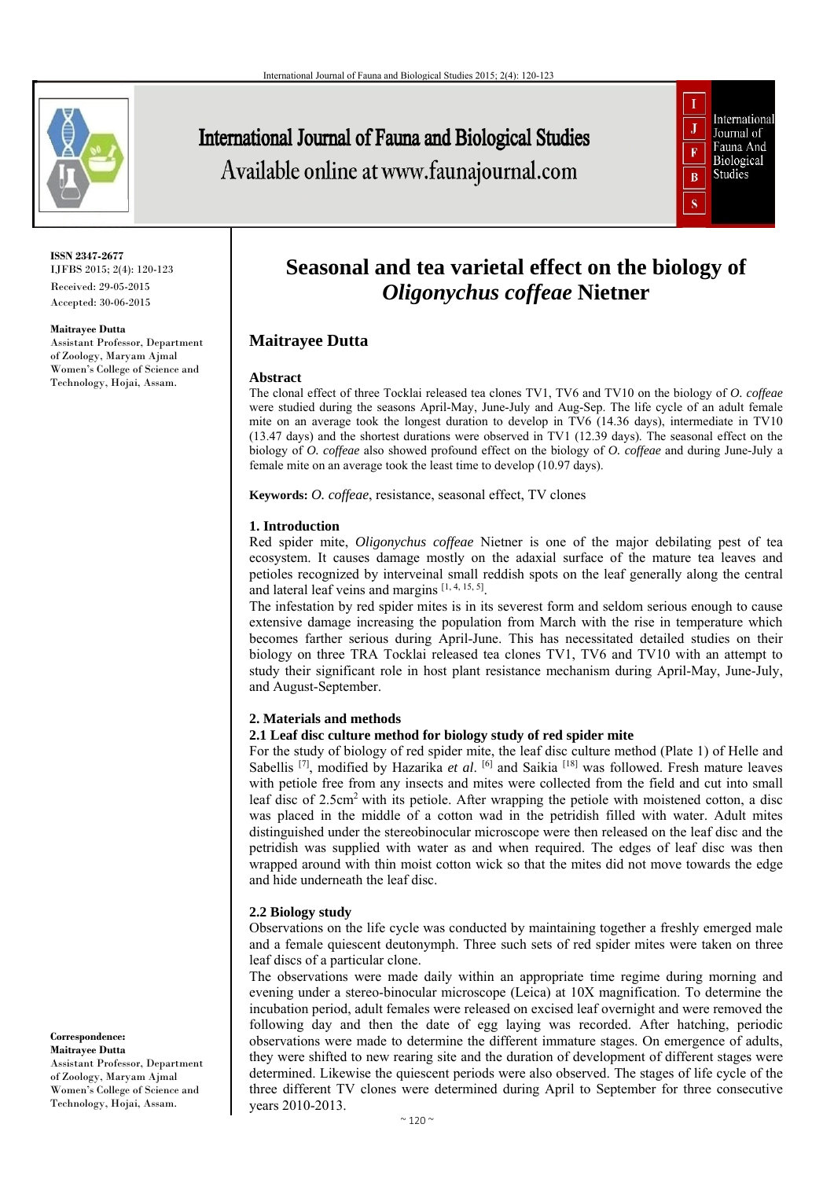

# International Journal of Fauna and Biological Studies Available online at www.faunajournal.com



#### **ISSN 2347-2677** IJFBS 2015; 2(4): 120-123 Received: 29-05-2015

Accepted: 30-06-2015

#### **Maitrayee Dutta**

Assistant Professor, Department of Zoology, Maryam Ajmal Women's College of Science and Technology, Hojai, Assam.

# **Seasonal and tea varietal effect on the biology of**  *Oligonychus coffeae* **Nietner**

# **Maitrayee Dutta**

#### **Abstract**

The clonal effect of three Tocklai released tea clones TV1, TV6 and TV10 on the biology of *O. coffeae* were studied during the seasons April-May, June-July and Aug-Sep. The life cycle of an adult female mite on an average took the longest duration to develop in TV6 (14.36 days), intermediate in TV10 (13.47 days) and the shortest durations were observed in TV1 (12.39 days). The seasonal effect on the biology of *O. coffeae* also showed profound effect on the biology of *O. coffeae* and during June-July a female mite on an average took the least time to develop (10.97 days).

**Keywords:** *O. coffeae*, resistance, seasonal effect, TV clones

#### **1. Introduction**

Red spider mite, *Oligonychus coffeae* Nietner is one of the major debilating pest of tea ecosystem. It causes damage mostly on the adaxial surface of the mature tea leaves and petioles recognized by interveinal small reddish spots on the leaf generally along the central and lateral leaf veins and margins [1, 4, 15, 5].

The infestation by red spider mites is in its severest form and seldom serious enough to cause extensive damage increasing the population from March with the rise in temperature which becomes farther serious during April-June. This has necessitated detailed studies on their biology on three TRA Tocklai released tea clones TV1, TV6 and TV10 with an attempt to study their significant role in host plant resistance mechanism during April-May, June-July, and August-September.

#### **2. Materials and methods**

#### **2.1 Leaf disc culture method for biology study of red spider mite**

For the study of biology of red spider mite, the leaf disc culture method (Plate 1) of Helle and Sabellis [7], modified by Hazarika *et al*. [6] and Saikia [18] was followed. Fresh mature leaves with petiole free from any insects and mites were collected from the field and cut into small leaf disc of 2.5cm<sup>2</sup> with its petiole. After wrapping the petiole with moistened cotton, a disc was placed in the middle of a cotton wad in the petridish filled with water. Adult mites distinguished under the stereobinocular microscope were then released on the leaf disc and the petridish was supplied with water as and when required. The edges of leaf disc was then wrapped around with thin moist cotton wick so that the mites did not move towards the edge and hide underneath the leaf disc.

### **2.2 Biology study**

Observations on the life cycle was conducted by maintaining together a freshly emerged male and a female quiescent deutonymph. Three such sets of red spider mites were taken on three leaf discs of a particular clone.

The observations were made daily within an appropriate time regime during morning and evening under a stereo-binocular microscope (Leica) at 10X magnification. To determine the incubation period, adult females were released on excised leaf overnight and were removed the following day and then the date of egg laying was recorded. After hatching, periodic observations were made to determine the different immature stages. On emergence of adults, they were shifted to new rearing site and the duration of development of different stages were determined. Likewise the quiescent periods were also observed. The stages of life cycle of the three different TV clones were determined during April to September for three consecutive years 2010-2013.

**Correspondence: Maitrayee Dutta**  Assistant Professor, Department of Zoology, Maryam Ajmal Women's College of Science and Technology, Hojai, Assam.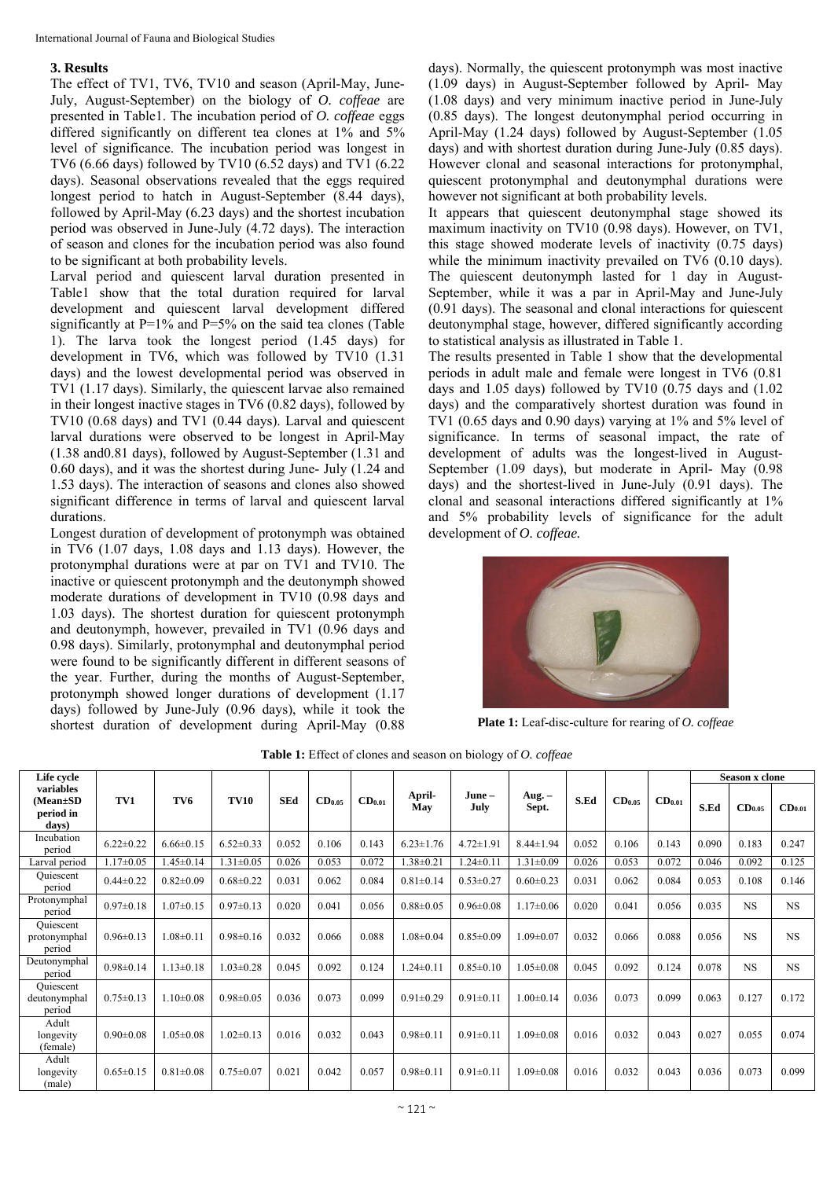## **3. Results**

The effect of TV1, TV6, TV10 and season (April-May, June-July, August-September) on the biology of *O. coffeae* are presented in Table1. The incubation period of *O. coffeae* eggs differed significantly on different tea clones at 1% and 5% level of significance. The incubation period was longest in TV6 (6.66 days) followed by TV10 (6.52 days) and TV1 (6.22 days). Seasonal observations revealed that the eggs required longest period to hatch in August-September (8.44 days), followed by April-May (6.23 days) and the shortest incubation period was observed in June-July (4.72 days). The interaction of season and clones for the incubation period was also found to be significant at both probability levels.

Larval period and quiescent larval duration presented in Table1 show that the total duration required for larval development and quiescent larval development differed significantly at P=1% and P=5% on the said tea clones (Table 1). The larva took the longest period (1.45 days) for development in TV6, which was followed by TV10 (1.31 days) and the lowest developmental period was observed in TV1 (1.17 days). Similarly, the quiescent larvae also remained in their longest inactive stages in TV6 (0.82 days), followed by TV10 (0.68 days) and TV1 (0.44 days). Larval and quiescent larval durations were observed to be longest in April-May (1.38 and0.81 days), followed by August-September (1.31 and 0.60 days), and it was the shortest during June- July (1.24 and 1.53 days). The interaction of seasons and clones also showed significant difference in terms of larval and quiescent larval durations.

Longest duration of development of protonymph was obtained in TV6 (1.07 days, 1.08 days and 1.13 days). However, the protonymphal durations were at par on TV1 and TV10. The inactive or quiescent protonymph and the deutonymph showed moderate durations of development in TV10 (0.98 days and 1.03 days). The shortest duration for quiescent protonymph and deutonymph, however, prevailed in TV1 (0.96 days and 0.98 days). Similarly, protonymphal and deutonymphal period were found to be significantly different in different seasons of the year. Further, during the months of August-September, protonymph showed longer durations of development (1.17 days) followed by June-July (0.96 days), while it took the shortest duration of development during April-May (0.88

days). Normally, the quiescent protonymph was most inactive (1.09 days) in August-September followed by April- May (1.08 days) and very minimum inactive period in June-July (0.85 days). The longest deutonymphal period occurring in April-May (1.24 days) followed by August-September (1.05 days) and with shortest duration during June-July (0.85 days). However clonal and seasonal interactions for protonymphal, quiescent protonymphal and deutonymphal durations were however not significant at both probability levels.

It appears that quiescent deutonymphal stage showed its maximum inactivity on TV10 (0.98 days). However, on TV1, this stage showed moderate levels of inactivity (0.75 days) while the minimum inactivity prevailed on TV6 (0.10 days). The quiescent deutonymph lasted for 1 day in August-September, while it was a par in April-May and June-July (0.91 days). The seasonal and clonal interactions for quiescent deutonymphal stage, however, differed significantly according to statistical analysis as illustrated in Table 1.

The results presented in Table 1 show that the developmental periods in adult male and female were longest in TV6 (0.81 days and 1.05 days) followed by TV10 (0.75 days and (1.02 days) and the comparatively shortest duration was found in TV1 (0.65 days and 0.90 days) varying at 1% and 5% level of significance. In terms of seasonal impact, the rate of development of adults was the longest-lived in August-September (1.09 days), but moderate in April- May (0.98 days) and the shortest-lived in June-July (0.91 days). The clonal and seasonal interactions differed significantly at 1% and 5% probability levels of significance for the adult development of *O. coffeae.* 



**Plate 1:** Leaf-disc-culture for rearing of *O. coffeae*

| Life cycle                                  |                 |                 |                 |            |                    |                    |                 |                 |                 |       |                    |                    | Season x clone |                    |                    |
|---------------------------------------------|-----------------|-----------------|-----------------|------------|--------------------|--------------------|-----------------|-----------------|-----------------|-------|--------------------|--------------------|----------------|--------------------|--------------------|
| variables<br>(Mean±SD<br>period in<br>days) | TV1             | TV6             | <b>TV10</b>     | <b>SEd</b> | CD <sub>0.05</sub> | CD <sub>0.01</sub> | April-<br>May   | June-<br>July   | Aug. –<br>Sept. | S.Ed  | CD <sub>0.05</sub> | CD <sub>0.01</sub> | S.Ed           | CD <sub>0.05</sub> | CD <sub>0.01</sub> |
| Incubation<br>period                        | $6.22 \pm 0.22$ | $6.66 \pm 0.15$ | $6.52 \pm 0.33$ | 0.052      | 0.106              | 0.143              | $6.23 \pm 1.76$ | $4.72 \pm 1.91$ | $8.44 \pm 1.94$ | 0.052 | 0.106              | 0.143              | 0.090          | 0.183              | 0.247              |
| Larval period                               | $1.17 \pm 0.05$ | $1.45 \pm 0.14$ | $1.31 \pm 0.05$ | 0.026      | 0.053              | 0.072              | $.38\pm0.21$    | $.24 \pm 0.11$  | $1.31 \pm 0.09$ | 0.026 | 0.053              | 0.072              | 0.046          | 0.092              | 0.125              |
| Quiescent<br>period                         | $0.44 \pm 0.22$ | $0.82 \pm 0.09$ | $0.68 \pm 0.22$ | 0.031      | 0.062              | 0.084              | $0.81 \pm 0.14$ | $0.53 \pm 0.27$ | $0.60 \pm 0.23$ | 0.031 | 0.062              | 0.084              | 0.053          | 0.108              | 0.146              |
| Protonymphal<br>period                      | $0.97 \pm 0.18$ | $1.07 \pm 0.15$ | $0.97 \pm 0.13$ | 0.020      | 0.041              | 0.056              | $0.88 \pm 0.05$ | $0.96 \pm 0.08$ | $1.17 \pm 0.06$ | 0.020 | 0.041              | 0.056              | 0.035          | <b>NS</b>          | NS.                |
| Ouiescent<br>protonymphal<br>period         | $0.96 \pm 0.13$ | $1.08 \pm 0.11$ | $0.98 \pm 0.16$ | 0.032      | 0.066              | 0.088              | $1.08 \pm 0.04$ | $0.85 \pm 0.09$ | $1.09 \pm 0.07$ | 0.032 | 0.066              | 0.088              | 0.056          | <b>NS</b>          | <b>NS</b>          |
| Deutonymphal<br>period                      | $0.98 \pm 0.14$ | $1.13 \pm 0.18$ | $1.03 \pm 0.28$ | 0.045      | 0.092              | 0.124              | $1.24 \pm 0.11$ | $0.85 \pm 0.10$ | $1.05 \pm 0.08$ | 0.045 | 0.092              | 0.124              | 0.078          | <b>NS</b>          | NS.                |
| Quiescent<br>deutonymphal<br>period         | $0.75 \pm 0.13$ | $1.10 \pm 0.08$ | $0.98 \pm 0.05$ | 0.036      | 0.073              | 0.099              | $0.91 \pm 0.29$ | $0.91 \pm 0.11$ | $1.00 \pm 0.14$ | 0.036 | 0.073              | 0.099              | 0.063          | 0.127              | 0.172              |
| Adult<br>longevity<br>(female)              | $0.90 \pm 0.08$ | $1.05 \pm 0.08$ | $1.02 \pm 0.13$ | 0.016      | 0.032              | 0.043              | $0.98 \pm 0.11$ | $0.91 \pm 0.11$ | $1.09 \pm 0.08$ | 0.016 | 0.032              | 0.043              | 0.027          | 0.055              | 0.074              |
| Adult<br>longevity<br>(male)                | $0.65 \pm 0.15$ | $0.81 \pm 0.08$ | $0.75 \pm 0.07$ | 0.021      | 0.042              | 0.057              | $0.98 \pm 0.11$ | $0.91 \pm 0.11$ | $1.09 \pm 0.08$ | 0.016 | 0.032              | 0.043              | 0.036          | 0.073              | 0.099              |

**Table 1:** Effect of clones and season on biology of *O. coffeae*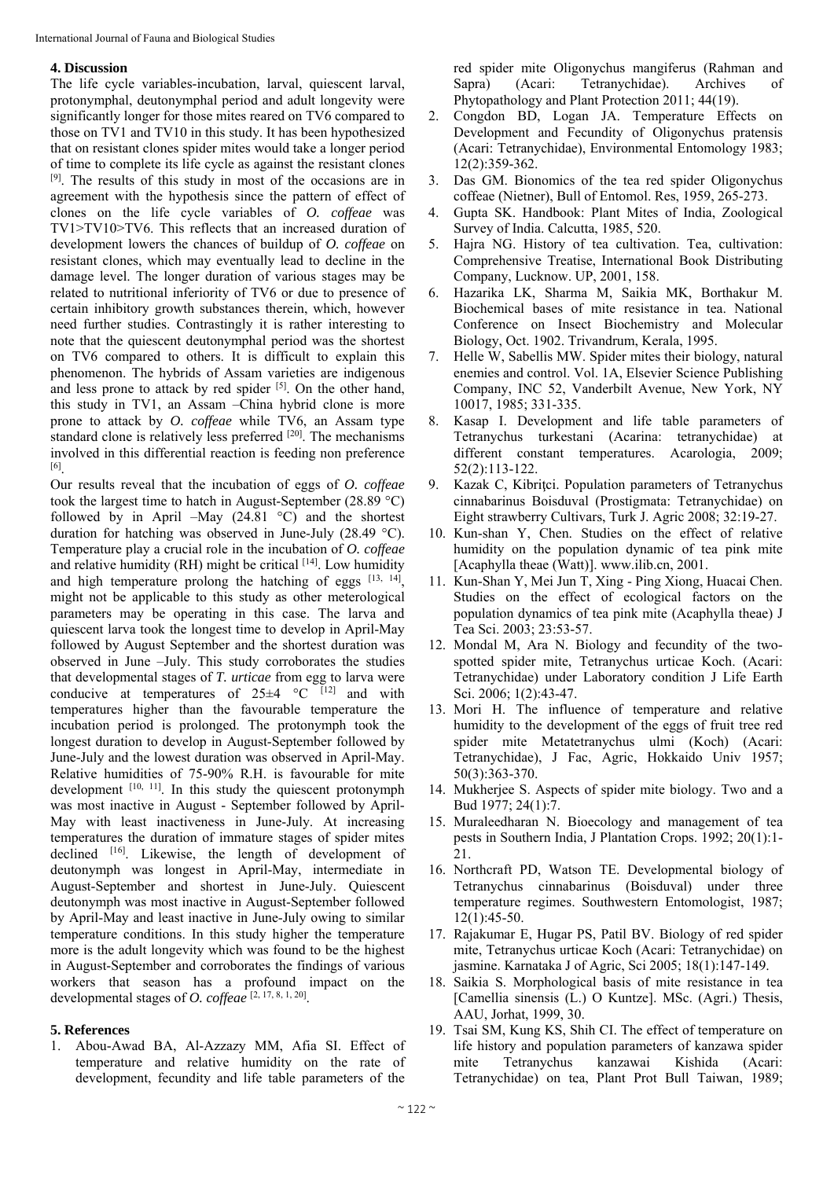#### **4. Discussion**

The life cycle variables-incubation, larval, quiescent larval, protonymphal, deutonymphal period and adult longevity were significantly longer for those mites reared on TV6 compared to those on TV1 and TV10 in this study. It has been hypothesized that on resistant clones spider mites would take a longer period of time to complete its life cycle as against the resistant clones [9]. The results of this study in most of the occasions are in agreement with the hypothesis since the pattern of effect of clones on the life cycle variables of *O. coffeae* was TV1>TV10>TV6. This reflects that an increased duration of development lowers the chances of buildup of *O. coffeae* on resistant clones, which may eventually lead to decline in the damage level. The longer duration of various stages may be related to nutritional inferiority of TV6 or due to presence of certain inhibitory growth substances therein, which, however need further studies. Contrastingly it is rather interesting to note that the quiescent deutonymphal period was the shortest on TV6 compared to others. It is difficult to explain this phenomenon. The hybrids of Assam varieties are indigenous and less prone to attack by red spider  $[5]$ . On the other hand, this study in TV1, an Assam –China hybrid clone is more prone to attack by *O. coffeae* while TV6, an Assam type standard clone is relatively less preferred <sup>[20]</sup>. The mechanisms involved in this differential reaction is feeding non preference [6].

Our results reveal that the incubation of eggs of *O. coffeae* took the largest time to hatch in August-September (28.89 °C) followed by in April –May  $(24.81 \degree C)$  and the shortest duration for hatching was observed in June-July (28.49 °C). Temperature play a crucial role in the incubation of *O. coffeae* and relative humidity (RH) might be critical  $[14]$ . Low humidity and high temperature prolong the hatching of eggs  $[13, 14]$ , might not be applicable to this study as other meterological parameters may be operating in this case. The larva and quiescent larva took the longest time to develop in April-May followed by August September and the shortest duration was observed in June –July. This study corroborates the studies that developmental stages of *T. urticae* from egg to larva were conducive at temperatures of  $25\pm4$  °C [12] and with temperatures higher than the favourable temperature the incubation period is prolonged. The protonymph took the longest duration to develop in August-September followed by June-July and the lowest duration was observed in April-May. Relative humidities of 75-90% R.H. is favourable for mite development  $[10, 11]$ . In this study the quiescent protonymph was most inactive in August - September followed by April-May with least inactiveness in June-July. At increasing temperatures the duration of immature stages of spider mites declined [16]. Likewise, the length of development of deutonymph was longest in April-May, intermediate in August-September and shortest in June-July. Quiescent deutonymph was most inactive in August-September followed by April-May and least inactive in June-July owing to similar temperature conditions. In this study higher the temperature more is the adult longevity which was found to be the highest in August-September and corroborates the findings of various workers that season has a profound impact on the developmental stages of *O. coffeae* [2, 17, 8, 1, 20].

#### **5. References**

1. Abou-Awad BA, Al-Azzazy MM, Afia SI. Effect of temperature and relative humidity on the rate of development, fecundity and life table parameters of the

red spider mite Oligonychus mangiferus (Rahman and Sapra) (Acari: Tetranychidae). Archives of Phytopathology and Plant Protection 2011; 44(19).

- 2. Congdon BD, Logan JA. Temperature Effects on Development and Fecundity of Oligonychus pratensis (Acari: Tetranychidae), Environmental Entomology 1983; 12(2):359-362.
- 3. Das GM. Bionomics of the tea red spider Oligonychus coffeae (Nietner), Bull of Entomol. Res, 1959, 265-273.
- 4. Gupta SK. Handbook: Plant Mites of India, Zoological Survey of India. Calcutta, 1985, 520.
- 5. Hajra NG. History of tea cultivation. Tea, cultivation: Comprehensive Treatise, International Book Distributing Company, Lucknow. UP, 2001, 158.
- 6. Hazarika LK, Sharma M, Saikia MK, Borthakur M. Biochemical bases of mite resistance in tea. National Conference on Insect Biochemistry and Molecular Biology, Oct. 1902. Trivandrum, Kerala, 1995.
- 7. Helle W, Sabellis MW. Spider mites their biology, natural enemies and control. Vol. 1A, Elsevier Science Publishing Company, INC 52, Vanderbilt Avenue, New York, NY 10017, 1985; 331-335.
- 8. Kasap I. Development and life table parameters of Tetranychus turkestani (Acarina: tetranychidae) at different constant temperatures. Acarologia, 2009; 52(2):113-122.
- 9. Kazak C, Kibritci. Population parameters of Tetranychus cinnabarinus Boisduval (Prostigmata: Tetranychidae) on Eight strawberry Cultivars, Turk J. Agric 2008; 32:19-27.
- 10. Kun-shan Y, Chen. Studies on the effect of relative humidity on the population dynamic of tea pink mite [Acaphylla theae (Watt)]. www.ilib.cn, 2001.
- 11. Kun-Shan Y, Mei Jun T, Xing Ping Xiong, Huacai Chen. Studies on the effect of ecological factors on the population dynamics of tea pink mite (Acaphylla theae) J Tea Sci. 2003; 23:53-57.
- 12. Mondal M, Ara N. Biology and fecundity of the twospotted spider mite, Tetranychus urticae Koch. (Acari: Tetranychidae) under Laboratory condition J Life Earth Sci. 2006; 1(2):43-47.
- 13. Mori H. The influence of temperature and relative humidity to the development of the eggs of fruit tree red spider mite Metatetranychus ulmi (Koch) (Acari: Tetranychidae), J Fac, Agric, Hokkaido Univ 1957; 50(3):363-370.
- 14. Mukherjee S. Aspects of spider mite biology. Two and a Bud 1977; 24(1):7.
- 15. Muraleedharan N. Bioecology and management of tea pests in Southern India, J Plantation Crops. 1992; 20(1):1- 21.
- 16. Northcraft PD, Watson TE. Developmental biology of Tetranychus cinnabarinus (Boisduval) under three temperature regimes. Southwestern Entomologist, 1987; 12(1):45-50.
- 17. Rajakumar E, Hugar PS, Patil BV. Biology of red spider mite, Tetranychus urticae Koch (Acari: Tetranychidae) on jasmine. Karnataka J of Agric, Sci 2005; 18(1):147-149.
- 18. Saikia S. Morphological basis of mite resistance in tea [Camellia sinensis (L.) O Kuntze]. MSc. (Agri.) Thesis, AAU, Jorhat, 1999, 30.
- 19. Tsai SM, Kung KS, Shih CI. The effect of temperature on life history and population parameters of kanzawa spider mite Tetranychus kanzawai Kishida (Acari: Tetranychidae) on tea, Plant Prot Bull Taiwan, 1989;